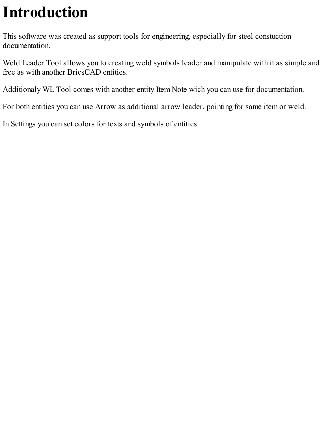## **Introduction**

This software was created as support tools for engineering, especially for steel constuction documentation.

Weld Leader Tool allows you to creating weld symbols leader and manipulate with it as simple and free as with another BricsCAD entities.

Additionaly WL Tool comes with another entity Item Note wich you can use for documentation.

For both entities you can use Arrow as additional arrow leader, pointing for same item or weld.

In Settings you can set colors for texts and symbols of entities.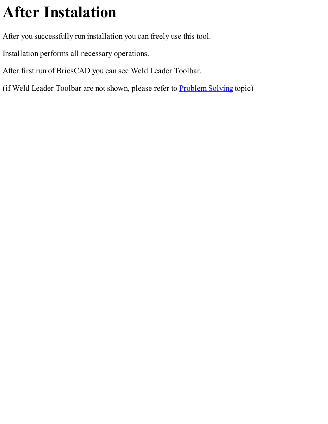## **After Instalation**

After you successfully run installation you can freely use this tool.

Installation performs all necessary operations.

After first run of BricsCAD you can see Weld Leader Toolbar.

(if Weld Leader Toolbar are not shown, please refer to **[Problem](#page-13-0) Solving** topic)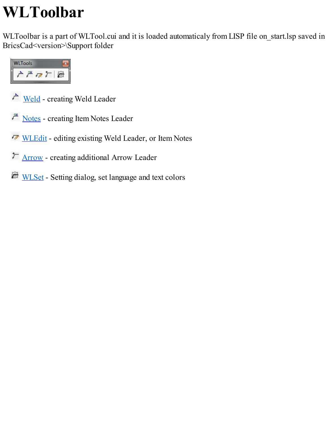#### <span id="page-2-0"></span>**WLToolbar**

WLToolbar is a part of WLTool.cui and it is loaded automaticaly from LISP file on\_start.lsp saved in BricsCad<version>\Support folder



[Weld](#page-6-0) - creating Weld Leader

- $\mu$ <sup> $\mu$ </sup> [Notes](#page-8-0) creating Item Notes Leader
- [WLEdit](#page-5-0) editing existing Weld Leader, or Item Notes
- [Arrow](#page-10-0) creating additional Arrow Leader
- [WLSet](#page-4-0) Setting dialog, set language and text colors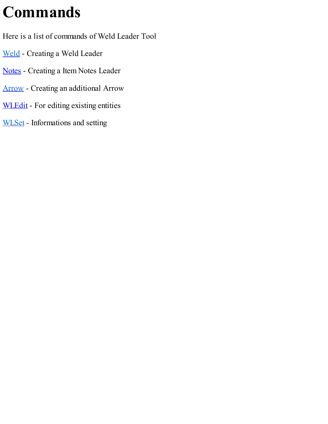#### **Commands**

Here is a list of commands of Weld Leader Tool

- [Weld](#page-6-0) Creating a Weld Leader
- [Notes](#page-8-0) Creating a Item Notes Leader
- [Arrow](#page-10-0) Creating an additional Arrow
- [WLEdit](#page-5-0) For editing existing entities
- [WLSet](#page-4-0) Informations and setting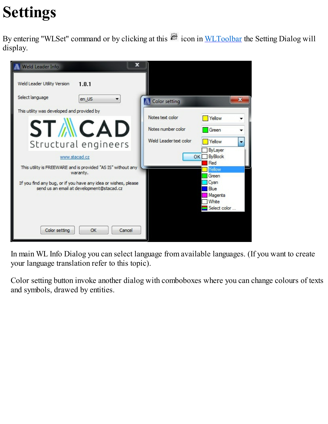# <span id="page-4-0"></span>**Settings**

By entering "WLSet" command or by clicking at this  $\frac{1}{2}$  icon in [WLToolbar](#page-2-0) the Setting Dialog will display.

| x<br>Weld Leader Info                                          |                        |                 |
|----------------------------------------------------------------|------------------------|-----------------|
| Weld Leader Utility Version<br>1.0.1                           |                        |                 |
| Select language<br>en US                                       | <b>A</b> Color setting |                 |
| This utility was developed and provided by                     |                        |                 |
|                                                                | Notes text color       | Yellow          |
| <b>STMCAD</b>                                                  | Notes number color     | Green           |
| Structural engineers                                           | Weld Leader text color | Yellow<br>▼     |
|                                                                |                        | ByLayer         |
| www.stacad.cz                                                  | OK                     | <b>ByBlock</b>  |
| This utility is FREEWARE and is provided "AS IS" without any   |                        | Red             |
| waranty.                                                       |                        | Yellow<br>Green |
| If you find any bug, or if you have any idea or wishes, please |                        | Cyan            |
| send us an email at development@stacad.cz                      |                        | Blue            |
|                                                                |                        | Magenta         |
|                                                                |                        | White           |
|                                                                |                        | Select color    |
|                                                                |                        |                 |
|                                                                |                        |                 |
| Color setting<br>Cancel<br>OK                                  |                        |                 |

In main WL Info Dialog you can select language from available languages. (If you want to create your language translation refer to this topic).

Color setting button invoke another dialog with comboboxes where you can change colours of texts and symbols, drawed by entities.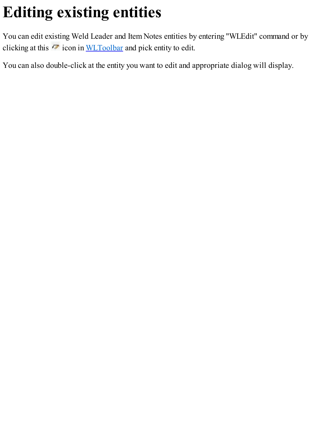# <span id="page-5-0"></span>**Editing existing entities**

You can edit existing Weld Leader and Item Notes entities by entering "WLEdit" command or by clicking at this  $\sqrt{ }$  icon in [WLToolbar](#page-2-0) and pick entity to edit.

You can also double-click at the entity you want to edit and appropriate dialog will display.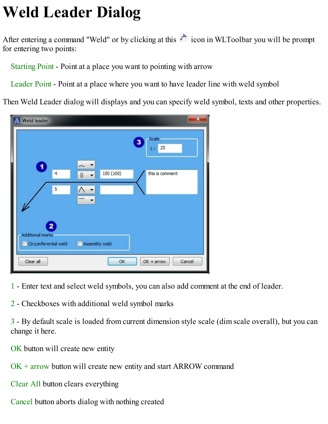### <span id="page-6-0"></span>**Weld Leader Dialog**

After entering a command "Weld" or by clicking at this  $\overrightarrow{r}$  icon in WLToolbar you will be prompt for entering two points:

Starting Point - Point at a place you want to pointing with arrow

Leader Point - Point at a place where you want to have leader line with weld symbol

Then Weld Leader dialog will displays and you can specify weld symbol, texts and other properties.



- 1 Enter text and select weld symbols, you can also add comment at the end of leader.
- 2 Checkboxes with additional weld symbol marks

3 - By default scale is loaded from current dimension style scale (dim scale overall), but you can change it here.

OK button will create new entity

OK + arrow button will create new entity and start ARROW command

Clear All button clears everything

Cancel button aborts dialog with nothing created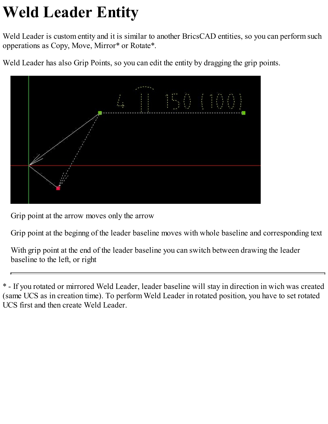# **Weld Leader Entity**

Weld Leader is custom entity and it is similar to another BricsCAD entities, so you can perform such opperations as Copy, Move, Mirror\* or Rotate\*.

Weld Leader has also Grip Points, so you can edit the entity by dragging the grip points.



Grip point at the arrow moves only the arrow

Grip point at the beginng of the leader baseline moves with whole baseline and corresponding text

With grip point at the end of the leader baseline you can switch between drawing the leader baseline to the left, or right

\* - If you rotated or mirrored Weld Leader, leader baseline will stay in direction in wich was created (same UCS as in creation time). To perform Weld Leader in rotated position, you have to set rotated UCS first and then create Weld Leader.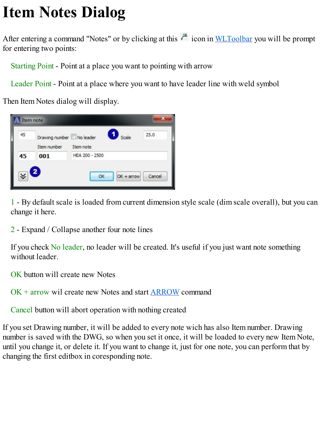### <span id="page-8-0"></span>**Item Notes Dialog**

After entering a command "Notes" or by clicking at this  $\mu$ <sup>th</sup> icon in [WLToolbar](#page-2-0) you will be prompt for entering two points:

Starting Point - Point at a place you want to pointing with arrow

Leader Point - Point at a place where you want to have leader line with weld symbol

Then Item Notes dialog will display.



1 - By default scale is loaded from current dimension style scale (dim scale overall), but you can change it here.

2 - Expand / Collapse another four note lines

If you check No leader, no leader will be created. It's useful if you just want note something without leader.

OK button will create new Notes

OK + arrow wil create new Notes and start [ARROW](#page-10-0) command

Cancel button will abort operation with nothing created

If you set Drawing number, it will be added to every note wich has also Item number. Drawing number is saved with the DWG, so when you set it once, it will be loaded to every new Item Note, until you change it, or delete it. If you want to change it, just for one note, you can perform that by changing the first editbox in coresponding note.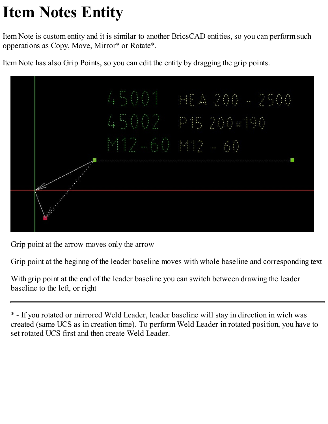## **Item Notes Entity**

Item Note is custom entity and it is similar to another BricsCAD entities, so you can perform such opperations as Copy, Move, Mirror\* or Rotate\*.

Item Note has also Grip Points, so you can edit the entity by dragging the grip points.



Grip point at the arrow moves only the arrow

Grip point at the beginng of the leader baseline moves with whole baseline and corresponding text

With grip point at the end of the leader baseline you can switch between drawing the leader baseline to the left, or right

\* - If you rotated or mirrored Weld Leader, leader baseline will stay in direction in wich was created (same UCS as in creation time). To perform Weld Leader in rotated position, you have to set rotated UCS first and then create Weld Leader.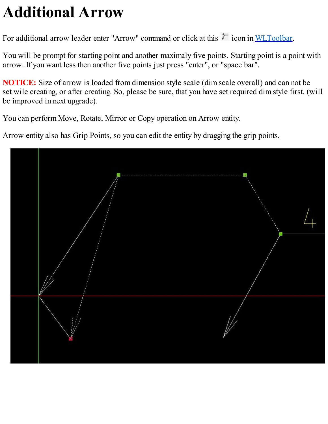### <span id="page-10-0"></span>**Additional Arrow**

For additional arrow leader enter "Arrow" command or click at this  $\tau$  icon in [WLToolbar](#page-2-0).

You will be prompt for starting point and another maximaly five points. Starting point is a point with arrow. If you want less then another five points just press "enter", or "space bar".

**NOTICE:** Size of arrow is loaded from dimension style scale (dim scale overall) and can not be set wile creating, or after creating. So, please be sure, that you have set required dim style first. (will be improved in next upgrade).

You can perform Move, Rotate, Mirror or Copy operation on Arrow entity.

Arrow entity also has Grip Points, so you can edit the entity by dragging the grip points.

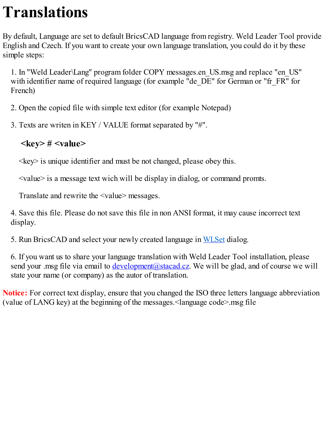#### **Translations**

By default, Language are set to default BricsCAD language from registry. Weld Leader Tool provide English and Czech. If you want to create your own language translation, you could do it by these simple steps:

1. In "Weld Leader\Lang" program folder COPY messages.en\_US.msg and replace "en\_US" with identifier name of required language (for example "de\_DE" for German or "fr\_FR" for French)

- 2. Open the copied file with simple text editor (for example Notepad)
- 3. Texts are writen in KEY / VALUE format separated by "#".

#### **<key> # <value>**

 $\langle \text{key} \rangle$  is unique identifier and must be not changed, please obey this.

<value> is a message text wich will be display in dialog, or command promts.

Translate and rewrite the <value> messages.

4. Save this file. Please do not save this file in non ANSI format, it may cause incorrect text display.

5. Run BricsCAD and select your newly created language in [WLSet](#page-4-0) dialog.

6. If you want us to share your language translation with Weld Leader Tool installation, please send your .msg file via email to *development@stacad.cz*. We will be glad, and of course we will state your name (or company) as the autor of translation.

**Notice:** For correct text display, ensure that you changed the ISO three letters language abbreviation (value of LANG key) at the beginning of the messages.<language code>.msg file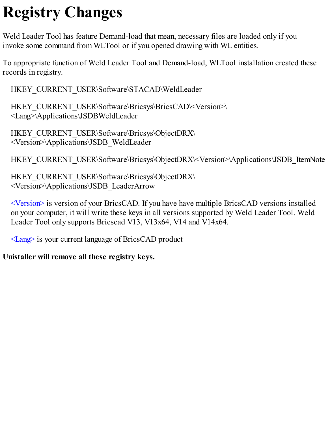## **Registry Changes**

Weld Leader Tool has feature Demand-load that mean, necessary files are loaded only if you invoke some command from WLTool or if you opened drawing with WL entities.

To appropriate function of Weld Leader Tool and Demand-load, WLTool installation created these records in registry.

HKEY\_CURRENT\_USER\Software\STACAD\WeldLeader

HKEY\_CURRENT\_USER\Software\Bricsys\BricsCAD\<Version>\ <Lang>\Applications\JSDBWeldLeader

HKEY\_CURRENT\_USER\Software\Bricsys\ObjectDRX\ <Version>\Applications\JSDB\_WeldLeader

HKEY\_CURRENT\_USER\Software\Bricsys\ObjectDRX\<Version>\Applications\JSDB\_ItemNote

HKEY\_CURRENT\_USER\Software\Bricsys\ObjectDRX\ <Version>\Applications\JSDB\_LeaderArrow

<Version> is version of your BricsCAD. If you have have multiple BricsCAD versions installed on your computer, it will write these keys in all versions supported by Weld Leader Tool. Weld Leader Tool only supports Bricscad V13, V13x64, V14 and V14x64.

<Lang> is your current language of BricsCAD product

#### **Unistaller will remove all these registry keys.**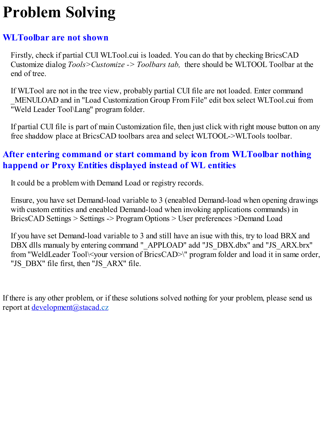### <span id="page-13-0"></span>**Problem Solving**

#### **WLToolbar are not shown**

Firstly, check if partial CUI WLTool.cui is loaded. You can do that by checking BricsCAD Customize dialog *Tools>Customize -> Toolbars tab,* there should be WLTOOL Toolbar at the end of tree.

If WLTool are not in the tree view, probably partial CUI file are not loaded. Enter command \_MENULOAD and in "Load Customization Group From File" edit box select WLTool.cui from "Weld Leader Tool\Lang" program folder.

If partial CUI file is part of main Customization file, then just click with right mouse button on any free shaddow place at BricsCAD toolbars area and select WLTOOL->WLTools toolbar.

#### **After entering command or start command by icon from WLToolbar nothing happend or Proxy Entities displayed instead of WL entities**

It could be a problem with Demand Load or registry records.

Ensure, you have set Demand-load variable to 3 (eneabled Demand-load when opening drawings with custom entities and eneabled Demand-load when invoking applications commands) in BricsCAD Settings > Settings -> Program Options > User preferences >Demand Load

If you have set Demand-load variable to 3 and still have an isue with this, try to load BRX and DBX dlls manualy by entering command "\_APPLOAD" add "JS\_DBX.dbx" and "JS\_ARX.brx" from "WeldLeader Tool\<your version of BricsCAD>\" program folder and load it in same order, "JS\_DBX" file first, then "JS\_ARX" file.

If there is any other problem, or if these solutions solved nothing for your problem, please send us report at <u>[development@stacad.cz](mailto:development@stacad.cz)</u>